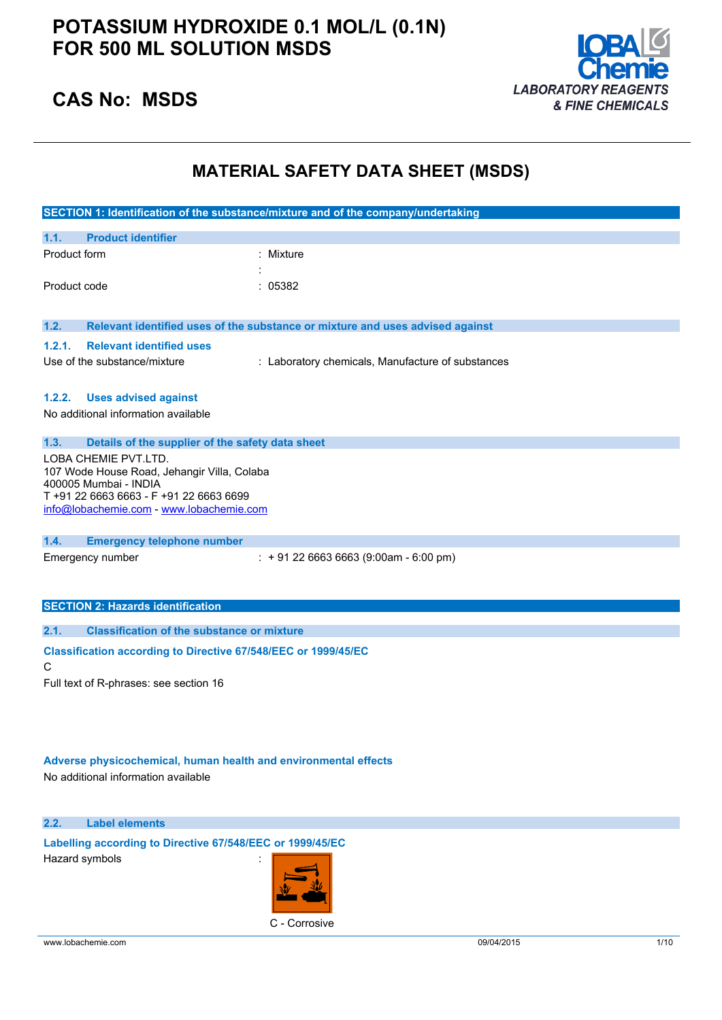

### **CAS No: MSDS**

## **MATERIAL SAFETY DATA SHEET (MSDS)**

|                                                                      | SECTION 1: Identification of the substance/mixture and of the company/undertaking |
|----------------------------------------------------------------------|-----------------------------------------------------------------------------------|
| <b>Product identifier</b><br>1.1.                                    |                                                                                   |
| Product form                                                         | : Mixture                                                                         |
|                                                                      |                                                                                   |
| Product code                                                         | : 05382                                                                           |
|                                                                      |                                                                                   |
| 1.2.                                                                 | Relevant identified uses of the substance or mixture and uses advised against     |
| <b>Relevant identified uses</b><br>1.2.1.                            |                                                                                   |
| Use of the substance/mixture                                         | : Laboratory chemicals, Manufacture of substances                                 |
|                                                                      |                                                                                   |
| <b>Uses advised against</b><br>1.2.2.                                |                                                                                   |
| No additional information available                                  |                                                                                   |
| 1.3.<br>Details of the supplier of the safety data sheet             |                                                                                   |
| LOBA CHEMIE PVT.LTD.                                                 |                                                                                   |
| 107 Wode House Road, Jehangir Villa, Colaba<br>400005 Mumbai - INDIA |                                                                                   |
| T+91 22 6663 6663 - F+91 22 6663 6699                                |                                                                                   |
| info@lobachemie.com - www.lobachemie.com                             |                                                                                   |
| 1.4.<br><b>Emergency telephone number</b>                            |                                                                                   |
| Emergency number                                                     | $\div$ + 91 22 6663 6663 (9:00am - 6:00 pm)                                       |
|                                                                      |                                                                                   |
|                                                                      |                                                                                   |
| <b>SECTION 2: Hazards identification</b>                             |                                                                                   |
| <b>Classification of the substance or mixture</b><br>2.1.            |                                                                                   |
| Classification according to Directive 67/548/EEC or 1999/45/EC       |                                                                                   |
| C                                                                    |                                                                                   |
| Full text of R-phrases: see section 16                               |                                                                                   |

**Adverse physicochemical, human health and environmental effects** No additional information available

**2.2. Label elements**

**Labelling according to Directive 67/548/EEC or 1999/45/EC** Hazard symbols :

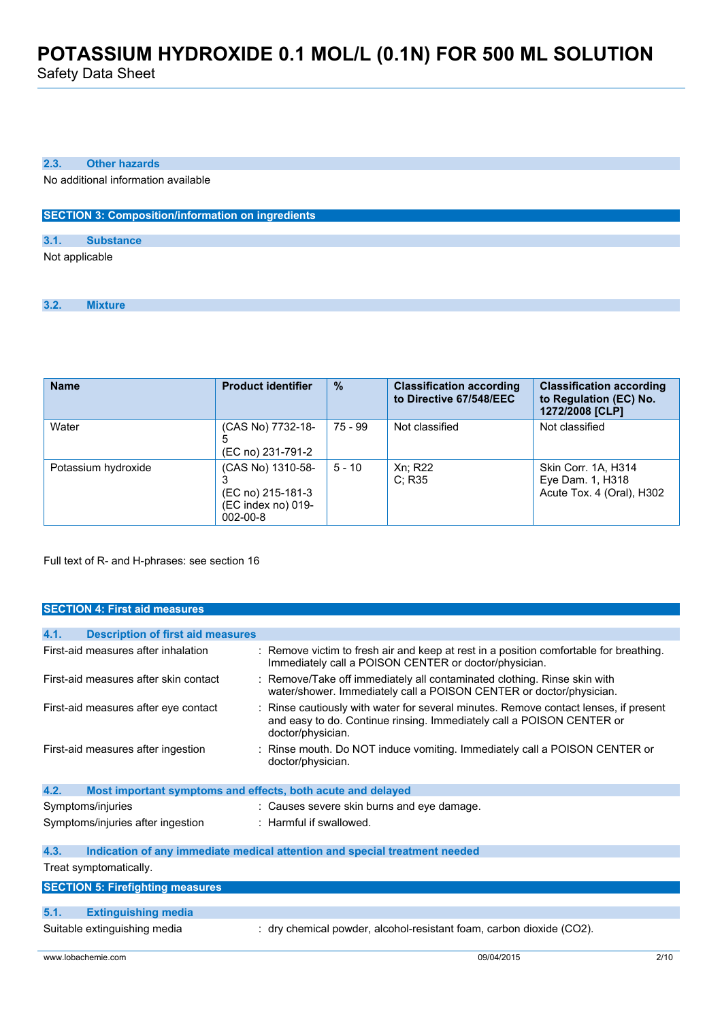Safety Data Sheet

#### **2.3. Other hazards**

No additional information available

#### **SECTION 3: Composition/information on ingredients**

#### **3.1. Substance**

Not applicable

**3.2. Mixture**

| <b>Name</b>         | <b>Product identifier</b>                                                      | $\frac{9}{6}$ | <b>Classification according</b><br>to Directive 67/548/EEC | <b>Classification according</b><br>to Regulation (EC) No.<br>1272/2008 [CLP] |
|---------------------|--------------------------------------------------------------------------------|---------------|------------------------------------------------------------|------------------------------------------------------------------------------|
| Water               | (CAS No) 7732-18-<br>5<br>(EC no) 231-791-2                                    | 75 - 99       | Not classified                                             | Not classified                                                               |
| Potassium hydroxide | (CAS No) 1310-58-<br>(EC no) 215-181-3<br>(EC index no) 019-<br>$002 - 00 - 8$ | $5 - 10$      | Xn; R22<br>C: R35                                          | Skin Corr. 1A, H314<br>Eye Dam. 1, H318<br>Acute Tox. 4 (Oral), H302         |

Full text of R- and H-phrases: see section 16

#### **SECTION 4: First aid measures**

| 4.1.<br><b>Description of first aid measures</b>                    |                                                                                                                                                                                  |  |  |
|---------------------------------------------------------------------|----------------------------------------------------------------------------------------------------------------------------------------------------------------------------------|--|--|
| First-aid measures after inhalation                                 | : Remove victim to fresh air and keep at rest in a position comfortable for breathing.<br>Immediately call a POISON CENTER or doctor/physician.                                  |  |  |
| First-aid measures after skin contact                               | : Remove/Take off immediately all contaminated clothing. Rinse skin with<br>water/shower. Immediately call a POISON CENTER or doctor/physician.                                  |  |  |
| First-aid measures after eye contact                                | Rinse cautiously with water for several minutes. Remove contact lenses, if present<br>and easy to do. Continue rinsing. Immediately call a POISON CENTER or<br>doctor/physician. |  |  |
| First-aid measures after ingestion                                  | Rinse mouth. Do NOT induce vomiting. Immediately call a POISON CENTER or<br>doctor/physician.                                                                                    |  |  |
| 4.2.<br>Most important symptoms and effects, both acute and delayed |                                                                                                                                                                                  |  |  |
| Symptoms/injuries                                                   | : Causes severe skin burns and eye damage.                                                                                                                                       |  |  |
| Symptoms/injuries after ingestion                                   | : Harmful if swallowed.                                                                                                                                                          |  |  |
| 4.3.                                                                | Indication of any immediate medical attention and special treatment needed                                                                                                       |  |  |
| Treat symptomatically.                                              |                                                                                                                                                                                  |  |  |
| <b>SECTION 5: Firefighting measures</b>                             |                                                                                                                                                                                  |  |  |
|                                                                     |                                                                                                                                                                                  |  |  |
| <b>Extinguishing media</b><br>5.1.                                  |                                                                                                                                                                                  |  |  |
| Suitable extinguishing media                                        | : dry chemical powder, alcohol-resistant foam, carbon dioxide (CO2).                                                                                                             |  |  |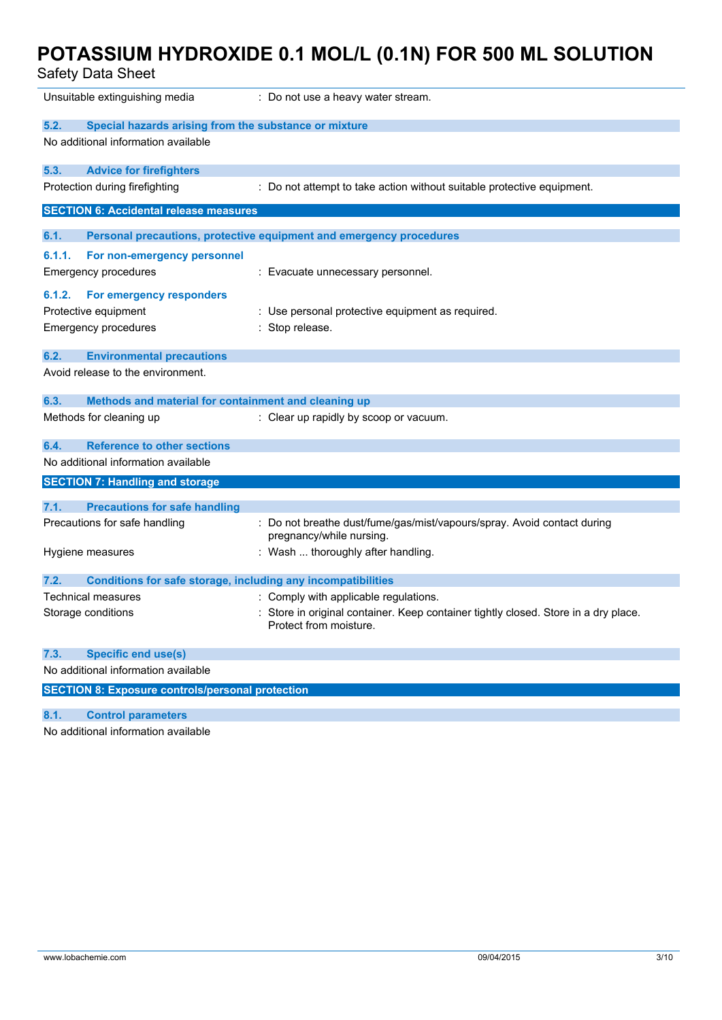| <b>Safety Data Sheet</b>                                                                  |                                                                                                             |
|-------------------------------------------------------------------------------------------|-------------------------------------------------------------------------------------------------------------|
| Unsuitable extinguishing media                                                            | : Do not use a heavy water stream.                                                                          |
| 5.2.<br>Special hazards arising from the substance or mixture                             |                                                                                                             |
| No additional information available                                                       |                                                                                                             |
| 5.3.<br><b>Advice for firefighters</b>                                                    |                                                                                                             |
| Protection during firefighting                                                            | : Do not attempt to take action without suitable protective equipment.                                      |
| <b>SECTION 6: Accidental release measures</b>                                             |                                                                                                             |
| 6.1.                                                                                      | Personal precautions, protective equipment and emergency procedures                                         |
| 6.1.1.<br>For non-emergency personnel<br><b>Emergency procedures</b>                      | : Evacuate unnecessary personnel.                                                                           |
| 6.1.2.<br>For emergency responders<br>Protective equipment<br><b>Emergency procedures</b> | : Use personal protective equipment as required.<br>Stop release.                                           |
| 6.2.<br><b>Environmental precautions</b>                                                  |                                                                                                             |
| Avoid release to the environment.                                                         |                                                                                                             |
| 6.3.<br>Methods and material for containment and cleaning up                              |                                                                                                             |
| Methods for cleaning up                                                                   | : Clear up rapidly by scoop or vacuum.                                                                      |
| <b>Reference to other sections</b><br>6.4.                                                |                                                                                                             |
| No additional information available                                                       |                                                                                                             |
| <b>SECTION 7: Handling and storage</b>                                                    |                                                                                                             |
| 7.1.<br><b>Precautions for safe handling</b>                                              |                                                                                                             |
| Precautions for safe handling                                                             | : Do not breathe dust/fume/gas/mist/vapours/spray. Avoid contact during<br>pregnancy/while nursing.         |
| Hygiene measures                                                                          | : Wash  thoroughly after handling.                                                                          |
| 7.2.<br><b>Conditions for safe storage, including any incompatibilities</b>               |                                                                                                             |
| Technical measures                                                                        | : Comply with applicable regulations.                                                                       |
| Storage conditions                                                                        | Store in original container. Keep container tightly closed. Store in a dry place.<br>Protect from moisture. |
| <b>Specific end use(s)</b><br>7.3.                                                        |                                                                                                             |
| No additional information available                                                       |                                                                                                             |
| <b>SECTION 8: Exposure controls/personal protection</b>                                   |                                                                                                             |

### **8.1. Control parameters**

No additional information available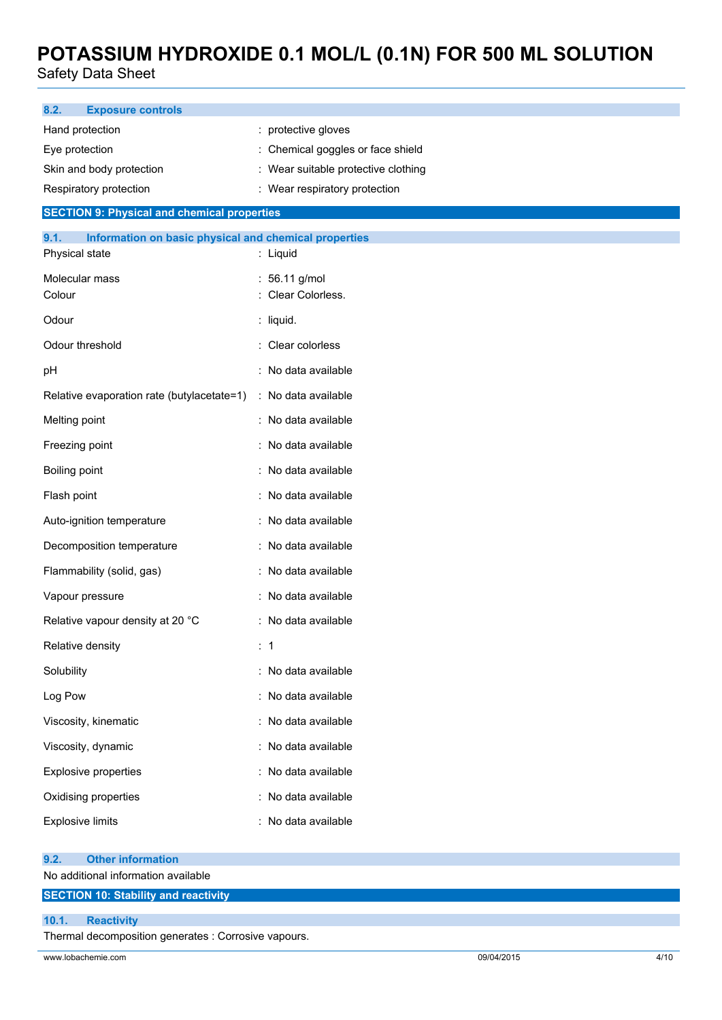Safety Data Sheet

| : protective gloves<br>Hand protection<br>: Chemical goggles or face shield<br>Eye protection<br>: Wear suitable protective clothing<br>Skin and body protection<br>: Wear respiratory protection<br>Respiratory protection<br><b>SECTION 9: Physical and chemical properties</b><br>9.1.<br>Information on basic physical and chemical properties<br>Physical state<br>: Liquid<br>Molecular mass<br>: 56.11 g/mol<br>: Clear Colorless.<br>Colour<br>Odour<br>: liquid.<br>Odour threshold<br>: Clear colorless<br>: No data available<br>pH<br>Relative evaporation rate (butylacetate=1)<br>: No data available<br>Melting point<br>: No data available<br>: No data available<br>Freezing point<br>Boiling point<br>: No data available<br>Flash point<br>: No data available<br>: No data available<br>Auto-ignition temperature<br>Decomposition temperature<br>: No data available |  |  |
|--------------------------------------------------------------------------------------------------------------------------------------------------------------------------------------------------------------------------------------------------------------------------------------------------------------------------------------------------------------------------------------------------------------------------------------------------------------------------------------------------------------------------------------------------------------------------------------------------------------------------------------------------------------------------------------------------------------------------------------------------------------------------------------------------------------------------------------------------------------------------------------------|--|--|
|                                                                                                                                                                                                                                                                                                                                                                                                                                                                                                                                                                                                                                                                                                                                                                                                                                                                                            |  |  |
|                                                                                                                                                                                                                                                                                                                                                                                                                                                                                                                                                                                                                                                                                                                                                                                                                                                                                            |  |  |
|                                                                                                                                                                                                                                                                                                                                                                                                                                                                                                                                                                                                                                                                                                                                                                                                                                                                                            |  |  |
|                                                                                                                                                                                                                                                                                                                                                                                                                                                                                                                                                                                                                                                                                                                                                                                                                                                                                            |  |  |
|                                                                                                                                                                                                                                                                                                                                                                                                                                                                                                                                                                                                                                                                                                                                                                                                                                                                                            |  |  |
|                                                                                                                                                                                                                                                                                                                                                                                                                                                                                                                                                                                                                                                                                                                                                                                                                                                                                            |  |  |
|                                                                                                                                                                                                                                                                                                                                                                                                                                                                                                                                                                                                                                                                                                                                                                                                                                                                                            |  |  |
|                                                                                                                                                                                                                                                                                                                                                                                                                                                                                                                                                                                                                                                                                                                                                                                                                                                                                            |  |  |
|                                                                                                                                                                                                                                                                                                                                                                                                                                                                                                                                                                                                                                                                                                                                                                                                                                                                                            |  |  |
|                                                                                                                                                                                                                                                                                                                                                                                                                                                                                                                                                                                                                                                                                                                                                                                                                                                                                            |  |  |
|                                                                                                                                                                                                                                                                                                                                                                                                                                                                                                                                                                                                                                                                                                                                                                                                                                                                                            |  |  |
|                                                                                                                                                                                                                                                                                                                                                                                                                                                                                                                                                                                                                                                                                                                                                                                                                                                                                            |  |  |
|                                                                                                                                                                                                                                                                                                                                                                                                                                                                                                                                                                                                                                                                                                                                                                                                                                                                                            |  |  |
|                                                                                                                                                                                                                                                                                                                                                                                                                                                                                                                                                                                                                                                                                                                                                                                                                                                                                            |  |  |
|                                                                                                                                                                                                                                                                                                                                                                                                                                                                                                                                                                                                                                                                                                                                                                                                                                                                                            |  |  |
|                                                                                                                                                                                                                                                                                                                                                                                                                                                                                                                                                                                                                                                                                                                                                                                                                                                                                            |  |  |
|                                                                                                                                                                                                                                                                                                                                                                                                                                                                                                                                                                                                                                                                                                                                                                                                                                                                                            |  |  |
|                                                                                                                                                                                                                                                                                                                                                                                                                                                                                                                                                                                                                                                                                                                                                                                                                                                                                            |  |  |
| Flammability (solid, gas)<br>: No data available                                                                                                                                                                                                                                                                                                                                                                                                                                                                                                                                                                                                                                                                                                                                                                                                                                           |  |  |
| Vapour pressure<br>: No data available                                                                                                                                                                                                                                                                                                                                                                                                                                                                                                                                                                                                                                                                                                                                                                                                                                                     |  |  |
| Relative vapour density at 20 °C<br>: No data available                                                                                                                                                                                                                                                                                                                                                                                                                                                                                                                                                                                                                                                                                                                                                                                                                                    |  |  |
| Relative density<br>:1                                                                                                                                                                                                                                                                                                                                                                                                                                                                                                                                                                                                                                                                                                                                                                                                                                                                     |  |  |
| : No data available<br>Solubility                                                                                                                                                                                                                                                                                                                                                                                                                                                                                                                                                                                                                                                                                                                                                                                                                                                          |  |  |
| Log Pow<br>: No data available                                                                                                                                                                                                                                                                                                                                                                                                                                                                                                                                                                                                                                                                                                                                                                                                                                                             |  |  |
| Viscosity, kinematic<br>: No data available                                                                                                                                                                                                                                                                                                                                                                                                                                                                                                                                                                                                                                                                                                                                                                                                                                                |  |  |
| : No data available<br>Viscosity, dynamic                                                                                                                                                                                                                                                                                                                                                                                                                                                                                                                                                                                                                                                                                                                                                                                                                                                  |  |  |
| : No data available<br><b>Explosive properties</b>                                                                                                                                                                                                                                                                                                                                                                                                                                                                                                                                                                                                                                                                                                                                                                                                                                         |  |  |
| : No data available<br>Oxidising properties                                                                                                                                                                                                                                                                                                                                                                                                                                                                                                                                                                                                                                                                                                                                                                                                                                                |  |  |
| <b>Explosive limits</b><br>: No data available                                                                                                                                                                                                                                                                                                                                                                                                                                                                                                                                                                                                                                                                                                                                                                                                                                             |  |  |
| <b>Other information</b><br>9.2.<br>No additional information available                                                                                                                                                                                                                                                                                                                                                                                                                                                                                                                                                                                                                                                                                                                                                                                                                    |  |  |
| <b>SECTION 10: Stability and reactivity</b>                                                                                                                                                                                                                                                                                                                                                                                                                                                                                                                                                                                                                                                                                                                                                                                                                                                |  |  |
| 10.1.<br><b>Reactivity</b><br>Thermal decomposition generates : Corrosive vapours.                                                                                                                                                                                                                                                                                                                                                                                                                                                                                                                                                                                                                                                                                                                                                                                                         |  |  |
|                                                                                                                                                                                                                                                                                                                                                                                                                                                                                                                                                                                                                                                                                                                                                                                                                                                                                            |  |  |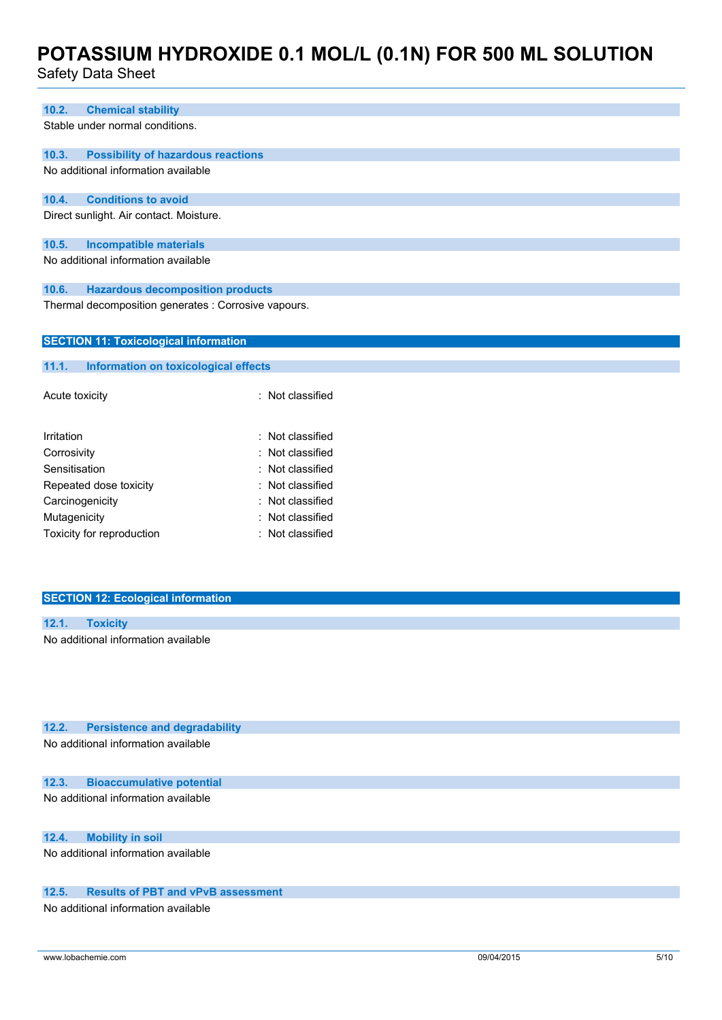### Safety Data Sheet

| 10.2.          | <b>Chemical stability</b>                            |                  |  |
|----------------|------------------------------------------------------|------------------|--|
|                | Stable under normal conditions.                      |                  |  |
| 10.3.          | <b>Possibility of hazardous reactions</b>            |                  |  |
|                | No additional information available                  |                  |  |
| 10.4.          | <b>Conditions to avoid</b>                           |                  |  |
|                | Direct sunlight. Air contact. Moisture.              |                  |  |
| 10.5.          | <b>Incompatible materials</b>                        |                  |  |
|                | No additional information available                  |                  |  |
| 10.6.          | <b>Hazardous decomposition products</b>              |                  |  |
|                | Thermal decomposition generates : Corrosive vapours. |                  |  |
|                | <b>SECTION 11: Toxicological information</b>         |                  |  |
| 11.1.          | Information on toxicological effects                 |                  |  |
| Acute toxicity |                                                      | : Not classified |  |
| Irritation     |                                                      | : Not classified |  |
| Corrosivity    |                                                      | Not classified   |  |
| Sensitisation  |                                                      | Not classified   |  |
|                | Repeated dose toxicity                               | Not classified   |  |
|                | Carcinogenicity                                      | Not classified   |  |
| Mutagenicity   |                                                      | Not classified   |  |
|                | Toxicity for reproduction                            | Not classified   |  |
|                |                                                      |                  |  |

### **SECTION 12: Ecological information**

| 12.1. |                                     |
|-------|-------------------------------------|
|       | No additional information available |

**12.2. Persistence and degradability**

No additional information available

#### **12.3. Bioaccumulative potential**

No additional information available

### **12.4. Mobility in soil**

No additional information available

### **12.5. Results of PBT and vPvB assessment**

No additional information available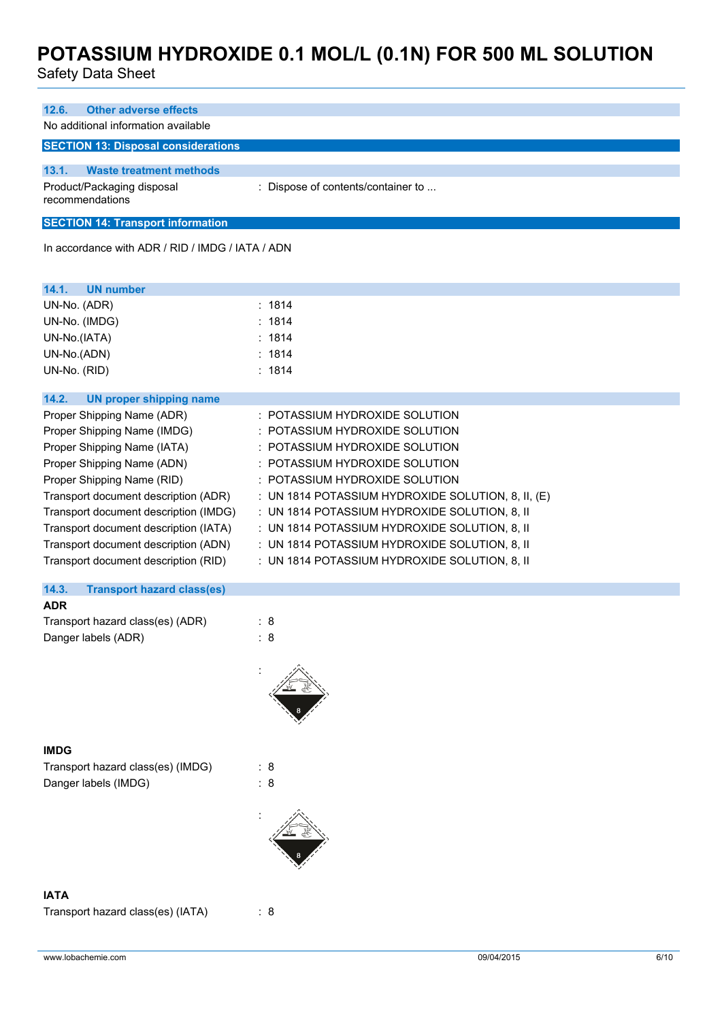Safety Data Sheet

| 12.6.<br><b>Other adverse effects</b>                                 |                                                    |
|-----------------------------------------------------------------------|----------------------------------------------------|
| No additional information available                                   |                                                    |
| <b>SECTION 13: Disposal considerations</b>                            |                                                    |
|                                                                       |                                                    |
| 13.1.<br><b>Waste treatment methods</b><br>Product/Packaging disposal | : Dispose of contents/container to                 |
| recommendations                                                       |                                                    |
| <b>SECTION 14: Transport information</b>                              |                                                    |
| In accordance with ADR / RID / IMDG / IATA / ADN                      |                                                    |
|                                                                       |                                                    |
| <b>UN number</b><br>14.1.                                             |                                                    |
| UN-No. (ADR)                                                          | : 1814                                             |
| UN-No. (IMDG)                                                         | : 1814                                             |
| UN-No.(IATA)                                                          | : 1814                                             |
| UN-No.(ADN)                                                           | : 1814                                             |
| UN-No. (RID)                                                          | : 1814                                             |
| 14.2.<br><b>UN proper shipping name</b>                               |                                                    |
| Proper Shipping Name (ADR)                                            | : POTASSIUM HYDROXIDE SOLUTION                     |
| Proper Shipping Name (IMDG)                                           | : POTASSIUM HYDROXIDE SOLUTION                     |
| Proper Shipping Name (IATA)                                           | : POTASSIUM HYDROXIDE SOLUTION                     |
| Proper Shipping Name (ADN)                                            | : POTASSIUM HYDROXIDE SOLUTION                     |
| Proper Shipping Name (RID)                                            | : POTASSIUM HYDROXIDE SOLUTION                     |
| Transport document description (ADR)                                  | : UN 1814 POTASSIUM HYDROXIDE SOLUTION, 8, II, (E) |
| Transport document description (IMDG)                                 | : UN 1814 POTASSIUM HYDROXIDE SOLUTION, 8, II      |
| Transport document description (IATA)                                 | : UN 1814 POTASSIUM HYDROXIDE SOLUTION, 8, II      |
| Transport document description (ADN)                                  | : UN 1814 POTASSIUM HYDROXIDE SOLUTION, 8, II      |
| Transport document description (RID)                                  | : UN 1814 POTASSIUM HYDROXIDE SOLUTION, 8, II      |
|                                                                       |                                                    |
| 14.3.<br><b>Transport hazard class(es)</b>                            |                                                    |
| <b>ADR</b>                                                            |                                                    |
| Transport hazard class(es) (ADR)                                      | : 8                                                |
| Danger labels (ADR)                                                   | : 8                                                |
|                                                                       |                                                    |
|                                                                       |                                                    |
|                                                                       |                                                    |
|                                                                       |                                                    |
|                                                                       |                                                    |
| <b>IMDG</b>                                                           |                                                    |
| Transport hazard class(es) (IMDG)                                     | : 8                                                |
| Danger labels (IMDG)                                                  | $\colon 8$                                         |
|                                                                       |                                                    |
|                                                                       |                                                    |
|                                                                       |                                                    |
|                                                                       |                                                    |
|                                                                       |                                                    |
|                                                                       |                                                    |
| <b>IATA</b>                                                           |                                                    |

Transport hazard class(es) (IATA) : 8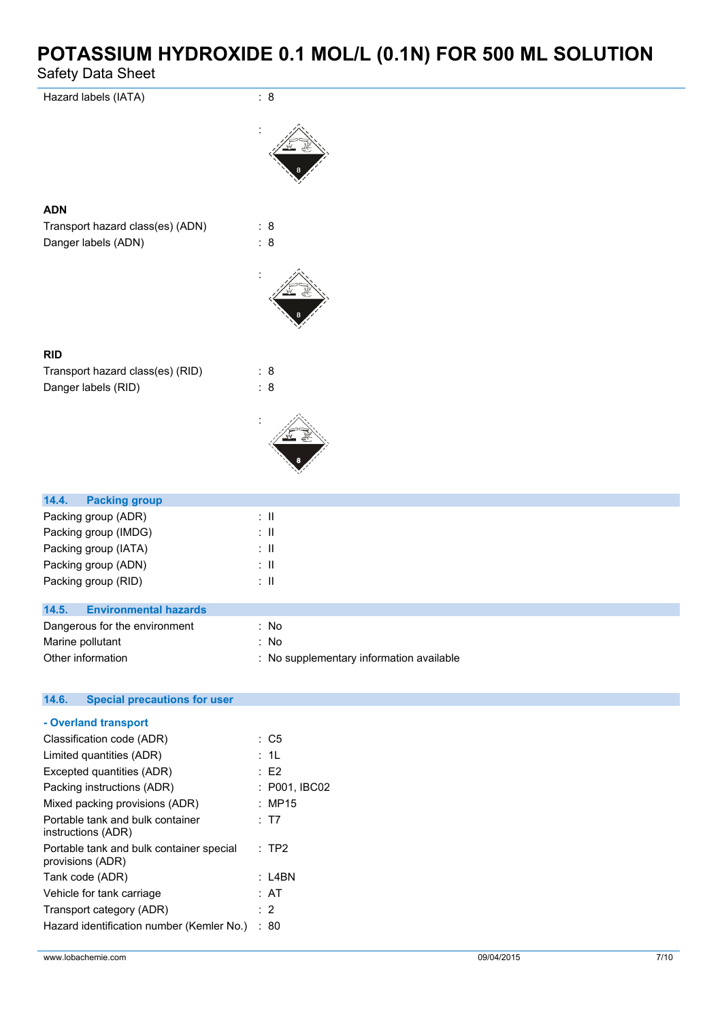Safety Data Sheet

| odicty Data Oncet                                       |                       |
|---------------------------------------------------------|-----------------------|
| Hazard labels (IATA)                                    | : 8                   |
|                                                         |                       |
| <b>ADN</b>                                              |                       |
| Transport hazard class(es) (ADN)<br>Danger labels (ADN) | : 8<br>$\therefore$ 8 |
|                                                         |                       |
| <b>RID</b>                                              |                       |
| Transport hazard class(es) (RID)<br>Danger labels (RID) | : 8<br>: 8            |
|                                                         |                       |
|                                                         |                       |
| 14.4.<br><b>Packing group</b>                           |                       |
| Packing group (ADR)                                     | $\lesssim 11$         |
| Packing group (IMDG)                                    | $\lesssim 11$         |
| Packing group (IATA)                                    | $\lesssim 11$         |
| Packing group (ADN)                                     | $\lesssim 11$         |
| Packing group (RID)                                     | $\lesssim 11$         |
| 14.5.<br><b>Environmental hazards</b>                   |                       |
| Dangerous for the environment                           | : No                  |
| Marine pollutant                                        | : No                  |

| 14.6.<br><b>Special precautions for user</b>                 |                 |
|--------------------------------------------------------------|-----------------|
| - Overland transport                                         |                 |
| Classification code (ADR)                                    | $\therefore$ C5 |
|                                                              |                 |
| Limited quantities (ADR)                                     | : 1L            |
| Excepted quantities (ADR)                                    | $\therefore$ E2 |
| Packing instructions (ADR)                                   | : P001, IBC02   |
| Mixed packing provisions (ADR)                               | : MP15          |
| Portable tank and bulk container<br>instructions (ADR)       | : T7            |
| Portable tank and bulk container special<br>provisions (ADR) | $:$ TP2         |
| Tank code (ADR)                                              | : L4BN          |
| Vehicle for tank carriage                                    | : AT            |
| Transport category (ADR)                                     | $\therefore$ 2  |
| Hazard identification number (Kemler No.)                    | :80             |

Other information **contact to the contact of the contact of the contact of the contact of the contact of the contact of the contact of the contact of the contact of the contact of the contact of the contact of the contact**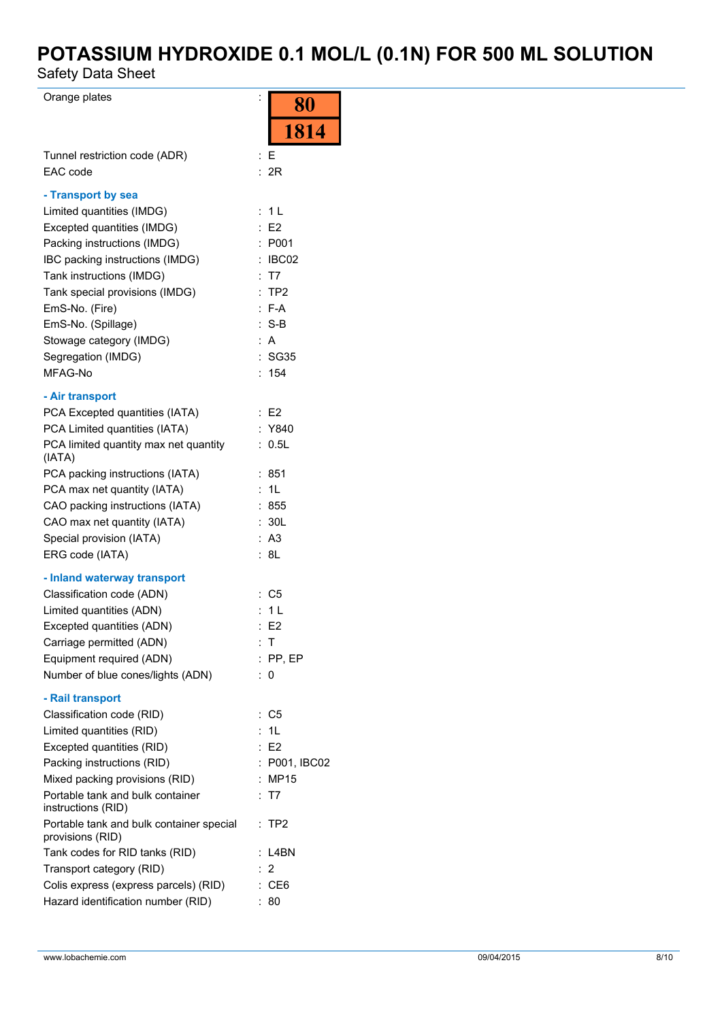Safety Data Sheet

Orange plates is a set of the set of the set of the set of the set of the set of the set of the set of the set of the set of the set of the set of the set of the set of the set of the set of the set of the set of the set o

| Orange plates                                                      | $\ddot{\cdot}$<br>80  |
|--------------------------------------------------------------------|-----------------------|
|                                                                    | 1814                  |
| Tunnel restriction code (ADR)<br>EAC code                          | : E<br>: 2R           |
| - Transport by sea                                                 |                       |
| Limited quantities (IMDG)                                          | 1 <sub>L</sub><br>÷.  |
| Excepted quantities (IMDG)                                         | E2                    |
| Packing instructions (IMDG)                                        | : P <sub>001</sub>    |
| IBC packing instructions (IMDG)                                    | : IBC02               |
| Tank instructions (IMDG)                                           | : T7                  |
| Tank special provisions (IMDG)                                     | :TP2                  |
| EmS-No. (Fire)                                                     | $: F-A$               |
| EmS-No. (Spillage)                                                 | $: S-B$               |
| Stowage category (IMDG)<br>Segregation (IMDG)                      | : A<br>: SG35         |
| MFAG-No                                                            | 154<br>t.             |
|                                                                    |                       |
| - Air transport                                                    |                       |
| PCA Excepted quantities (IATA)<br>PCA Limited quantities (IATA)    | : E2<br>: Y840        |
| PCA limited quantity max net quantity                              | 0.5L                  |
| (IATA)                                                             |                       |
| PCA packing instructions (IATA)                                    | :851                  |
| PCA max net quantity (IATA)                                        | : 1L                  |
| CAO packing instructions (IATA)                                    | : 855                 |
| CAO max net quantity (IATA)                                        | 30L<br>÷.             |
| Special provision (IATA)                                           | : A3                  |
| ERG code (IATA)                                                    | : 8L                  |
| - Inland waterway transport                                        |                       |
| Classification code (ADN)                                          | : C5                  |
| Limited quantities (ADN)                                           | 1 <sub>L</sub>        |
| Excepted quantities (ADN)                                          | : E2                  |
| Carriage permitted (ADN)                                           | Т                     |
| Equipment required (ADN)                                           | $:$ PP, EP            |
| Number of blue cones/lights (ADN)                                  | 0                     |
| - Rail transport                                                   |                       |
| Classification code (RID)                                          | C <sub>5</sub><br>÷.  |
| Limited quantities (RID)                                           | : 1L                  |
| Excepted quantities (RID)                                          | E2                    |
| Packing instructions (RID)                                         | : P001, IBC02         |
| Mixed packing provisions (RID)<br>Portable tank and bulk container | <b>MP15</b><br>: T7   |
| instructions (RID)                                                 |                       |
| Portable tank and bulk container special<br>provisions (RID)       | $:$ TP2               |
| Tank codes for RID tanks (RID)                                     | : L4BN                |
| Transport category (RID)                                           | $\overline{2}$        |
| Colis express (express parcels) (RID)                              | CE <sub>6</sub><br>÷. |
| Hazard identification number (RID)                                 | 80                    |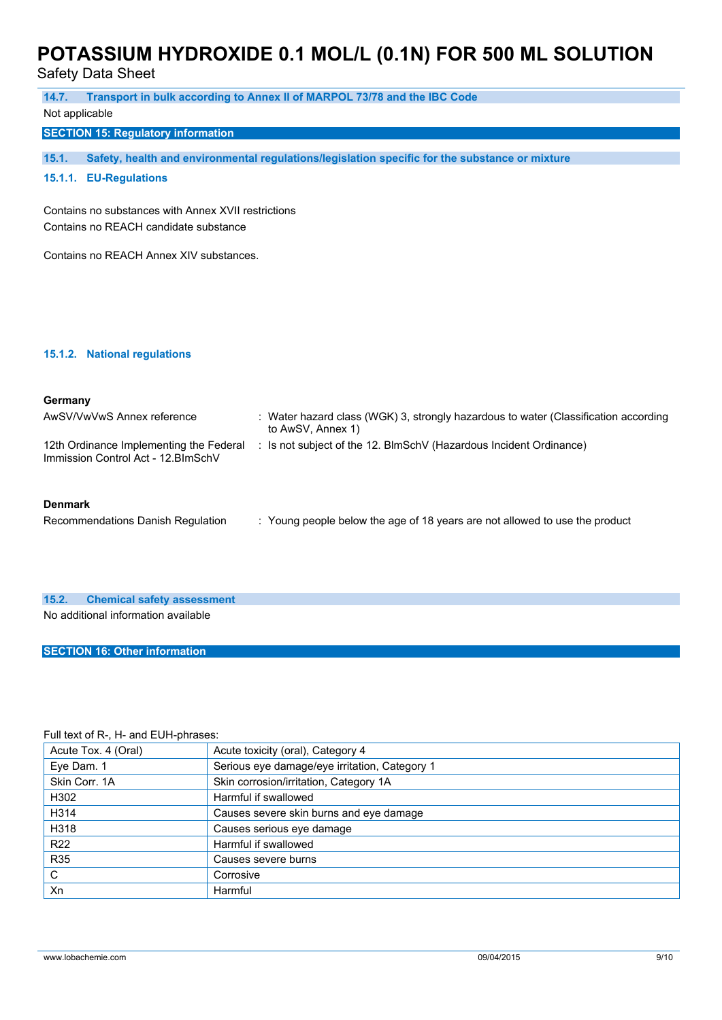Safety Data Sheet

| 14.7.                                               | Transport in bulk according to Annex II of MARPOL 73/78 and the IBC Code                                 |  |
|-----------------------------------------------------|----------------------------------------------------------------------------------------------------------|--|
| Not applicable                                      |                                                                                                          |  |
| <b>SECTION 15: Regulatory information</b>           |                                                                                                          |  |
| 15.1.                                               | Safety, health and environmental regulations/legislation specific for the substance or mixture           |  |
|                                                     |                                                                                                          |  |
| 15.1.1. EU-Regulations                              |                                                                                                          |  |
| Contains no substances with Annex XVII restrictions |                                                                                                          |  |
| Contains no REACH candidate substance               |                                                                                                          |  |
|                                                     |                                                                                                          |  |
| Contains no REACH Annex XIV substances.             |                                                                                                          |  |
|                                                     |                                                                                                          |  |
|                                                     |                                                                                                          |  |
|                                                     |                                                                                                          |  |
|                                                     |                                                                                                          |  |
|                                                     |                                                                                                          |  |
| 15.1.2. National regulations                        |                                                                                                          |  |
|                                                     |                                                                                                          |  |
|                                                     |                                                                                                          |  |
| Germany                                             |                                                                                                          |  |
| AwSV/VwVwS Annex reference                          | : Water hazard class (WGK) 3, strongly hazardous to water (Classification according<br>to AwSV, Annex 1) |  |
| 12th Ordinance Implementing the Federal             | : Is not subject of the 12. BlmSchV (Hazardous Incident Ordinance)                                       |  |
| Immission Control Act - 12. BlmSchV                 |                                                                                                          |  |
|                                                     |                                                                                                          |  |
|                                                     |                                                                                                          |  |
| <b>Denmark</b>                                      |                                                                                                          |  |
| Recommendations Danish Regulation                   | : Young people below the age of 18 years are not allowed to use the product                              |  |
|                                                     |                                                                                                          |  |

#### **15.2. Chemical safety assessment**

No additional information available

### **SECTION 16: Other information**

### Full text of R-, H- and EUH-phrases:

| Acute Tox. 4 (Oral) | Acute toxicity (oral), Category 4             |
|---------------------|-----------------------------------------------|
| Eye Dam. 1          | Serious eye damage/eye irritation, Category 1 |
| Skin Corr, 1A       | Skin corrosion/irritation, Category 1A        |
| H302                | Harmful if swallowed                          |
| H314                | Causes severe skin burns and eye damage       |
| H318                | Causes serious eye damage                     |
| R <sub>22</sub>     | Harmful if swallowed                          |
| <b>R35</b>          | Causes severe burns                           |
| C                   | Corrosive                                     |
| Xn                  | Harmful                                       |